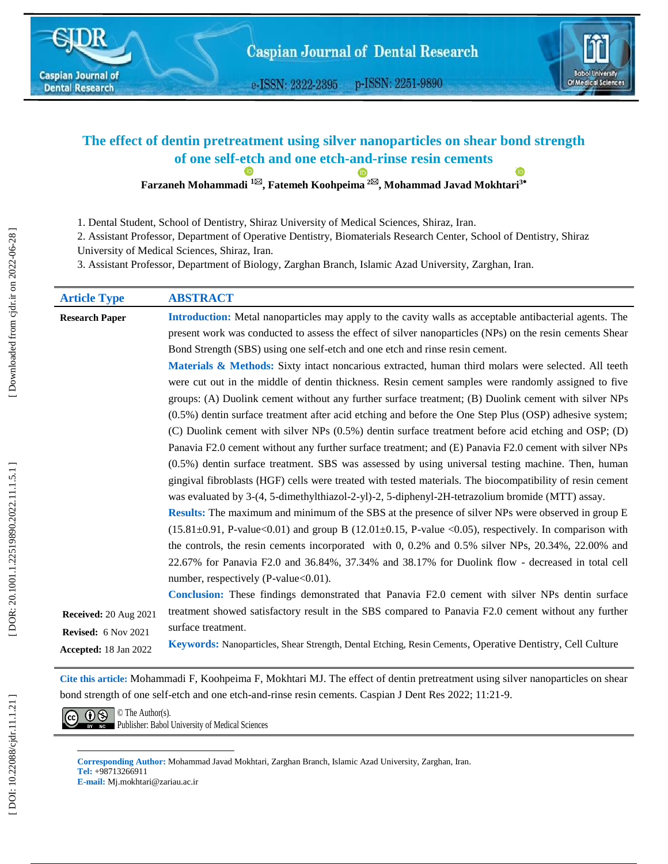e-ISSN: 2322-2395 p-ISSN: 2251-9890



# **The effect of dentin pretreatment using silver nanoparticles on shear bond strength of one self-etch and one etch -and -rinse resin cements**

**Farzaneh Mohammadi 1 , Fatemeh Koohpeima 2 , Mohammad Javad Mokhtari 3**

1 . Dental Student, School of Dentistry, Shiraz University of Medical Sciences, Shiraz, Iran.

2. Assistant Professor, Department of Operative Dentistry, Biomaterials Research Center, School of Dentistry, Shiraz

University of Medical Sciences, Shiraz, Iran.

3. Assistant Professor, Department of Biology, Zarghan Branch, Islamic Azad University, Zarghan, Iran.

| <b>Article Type</b>          | <b>ABSTRACT</b>                                                                                              |  |  |  |
|------------------------------|--------------------------------------------------------------------------------------------------------------|--|--|--|
| <b>Research Paper</b>        | Introduction: Metal nanoparticles may apply to the cavity walls as acceptable antibacterial agents. The      |  |  |  |
|                              | present work was conducted to assess the effect of silver nanoparticles (NPs) on the resin cements Shear     |  |  |  |
|                              | Bond Strength (SBS) using one self-etch and one etch and rinse resin cement.                                 |  |  |  |
|                              | Materials & Methods: Sixty intact noncarious extracted, human third molars were selected. All teeth          |  |  |  |
|                              | were cut out in the middle of dentin thickness. Resin cement samples were randomly assigned to five          |  |  |  |
|                              | groups: (A) Duolink cement without any further surface treatment; (B) Duolink cement with silver NPs         |  |  |  |
|                              | (0.5%) dentin surface treatment after acid etching and before the One Step Plus (OSP) adhesive system;       |  |  |  |
|                              | (C) Duolink cement with silver NPs (0.5%) dentin surface treatment before acid etching and OSP; (D)          |  |  |  |
|                              | Panavia F2.0 cement without any further surface treatment; and (E) Panavia F2.0 cement with silver NPs       |  |  |  |
|                              | (0.5%) dentin surface treatment. SBS was assessed by using universal testing machine. Then, human            |  |  |  |
|                              | gingival fibroblasts (HGF) cells were treated with tested materials. The biocompatibility of resin cement    |  |  |  |
|                              | was evaluated by 3-(4, 5-dimethylthiazol-2-yl)-2, 5-diphenyl-2H-tetrazolium bromide (MTT) assay.             |  |  |  |
|                              | Results: The maximum and minimum of the SBS at the presence of silver NPs were observed in group E           |  |  |  |
|                              | $(15.81\pm0.91, P-value<0.01)$ and group B $(12.01\pm0.15, P-value<0.05)$ , respectively. In comparison with |  |  |  |
|                              | the controls, the resin cements incorporated with 0, 0.2% and 0.5% silver NPs, 20.34%, 22.00% and            |  |  |  |
|                              | 22.67% for Panavia F2.0 and 36.84%, 37.34% and 38.17% for Duolink flow - decreased in total cell             |  |  |  |
|                              | number, respectively (P-value<0.01).                                                                         |  |  |  |
|                              | <b>Conclusion:</b> These findings demonstrated that Panavia F2.0 cement with silver NPs dentin surface       |  |  |  |
| <b>Received: 20 Aug 2021</b> | treatment showed satisfactory result in the SBS compared to Panavia F2.0 cement without any further          |  |  |  |
| <b>Revised:</b> 6 Nov 2021   | surface treatment.                                                                                           |  |  |  |
| Accepted: 18 Jan 2022        | Keywords: Nanoparticles, Shear Strength, Dental Etching, Resin Cements, Operative Dentistry, Cell Culture    |  |  |  |

**Cite this article:** Mohammadi F, Koohpeima F, Mokhtari MJ. The effect of dentin pretreatment using silver nanoparticles on shear bond strength of one self-etch and one etch -and -rinse resin cements. Caspian J Dent Res 2022; 11:21 -9.



**Corresponding Author :** Mohammad Javad Mokhtari, Zarghan Branch, Islamic Azad University, Zarghan, Iran. **Tel :** +98713266911 **E -mail:** Mj.mokhtari@zariau.ac.ir

 $\overline{\phantom{a}}$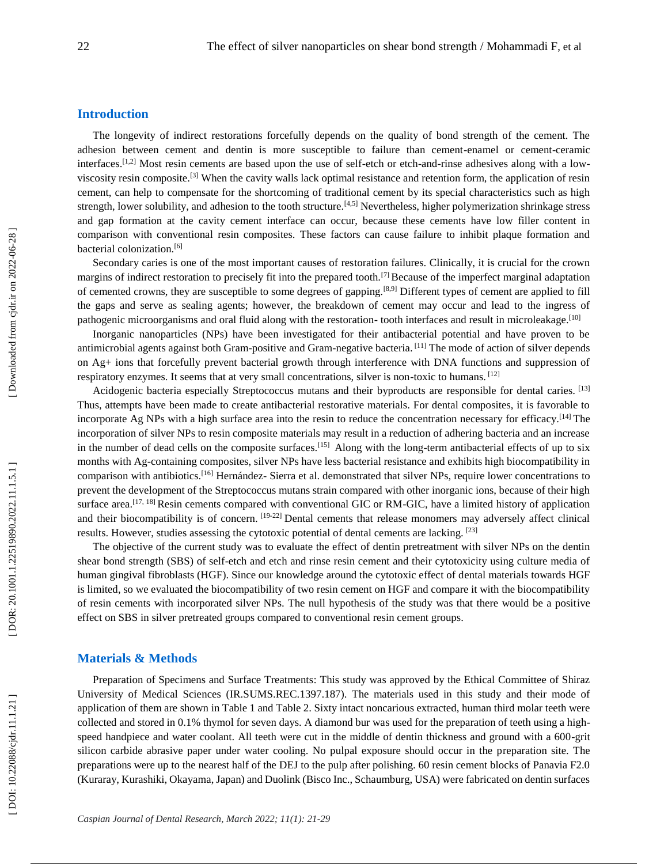#### **Introduction**

The longevity of indirect restorations forcefully depends on the quality of bond strength of the cement. The adhesion between cement and dentin is more susceptible to failure than cement-enamel or cement-ceramic interfaces.<sup>[1,2]</sup> Most resin cements are based upon the use of self-etch or etch-and-rinse adhesives along with a lowviscosity resin composite. [3] When the cavity walls lack optimal resistance and retention form, the application of resin cement, can help to compensate for the shortcoming of traditional cement by its special characteristics such as high strength, lower solubility, and adhesion to the tooth structure.<sup>[4,5]</sup> Nevertheless, higher polymerization shrinkage stress and gap formation at the cavity cement interface can occur, because these cements have low filler content in comparison with conventional resin composites. These factors can cause failure to inhibit plaque formation and bacterial colonization. [6]

Secondary caries is one of the most important causes of restoration failures. Clinically, it is crucial for the crown margins of indirect restoration to precisely fit into the prepared tooth.<sup>[7]</sup> Because of the imperfect marginal adaptation of cemented crowns, they are susceptible to some degrees of gapping.<sup>[8,9]</sup> Different types of cement are applied to fill the gaps and serve as sealing agents; however, the breakdown of cement may occur and lead to the ingress of pathogenic microorganisms and oral fluid along with the restoration-tooth interfaces and result in microleakage.<sup>[10]</sup>

Inorganic nanoparticles (NPs) have been investigated for their antibacterial potential and have proven to be antimicrobial agents against both Gram-positive and Gram-negative bacteria.<sup>[11]</sup> The mode of action of silver depends on Ag+ ions that forcefully prevent bacterial growth through interference with DNA functions and suppression of respiratory enzymes. It seems that at very small concentrations, silver is non-toxic to humans. [12]

Acidogenic bacteria especially Streptococcus mutans and their byproducts are responsible for dental caries. [13] Thus, attempts have been made to create antibacterial restorative materials. For dental composites, it is favorable to incorporate Ag NPs with a high surface area into the resin to reduce the concentration necessary for efficacy.<sup>[14]</sup> The incorporation of silver NPs to resin composite materials may result in a reduction of adhering bacteria and an increase in the number of dead cells on the composite surfaces.<sup>[15]</sup> Along with the long-term antibacterial effects of up to six months with Ag -containing composites, silver NPs have less bacterial resistance and exhibits high biocompatibility in comparison with antibiotics.<sup>[16]</sup> Hernández- Sierra et al. demonstrated that silver NPs, require lower concentrations to prevent the development of the Streptococcus mutans strain compared with other inorganic ions, because of their high surface area.<sup>[17, 18]</sup> Resin cements compared with conventional GIC or RM-GIC, have a limited history of application and their biocompatibility is of concern. [19-22] Dental cements that release monomers may adversely affect clinical results. However, studies assessing the cytotoxic potential of dental cements are lacking. [23]

The objective of the current study was to evaluate the effect of dentin pretreatment with silver NPs on the dentin shear bond strength (SBS) of self -etch and etch and rinse resin cement and their cytotoxicity using culture media of human gingival fibroblasts (HGF). Since our knowledge around the cytotoxic effect of dental materials towards HGF is limited, so we evaluated the biocompatibility of two resin cement on HGF and compare it with the biocompatibility of resin cements with incorporated silver NPs. The null hypothesis of the study was that there would be a positive effect on SBS in silver pretreated groups compared to conventional resin cement groups.

#### **Materials & Methods**

Preparation of Specimens and Surface Treatments: This study was approved by the Ethical Committee of Shiraz University of Medical Sciences (IR.SUMS.REC.1397.187). The materials used in this study and their mode of application of them are shown in Table 1 and Table 2. Sixty intact noncarious extracted, human third molar teeth were collected and stored in 0.1% thymol for seven days. A diamond bur was used for the preparation of teeth using a high speed handpiece and water coolant. All teeth were cut in the middle of dentin thickness and ground with a 600-grit silicon carbide abrasive paper under water cooling. No pulpal exposure should occur in the preparation site. The preparations were up to the nearest half of the DEJ to the pulp after polishing. 60 resin cement blocks of Panavia F2.0 (Kuraray, Kurashiki, Okayama, Japan) and Duolink (Bisco Inc., Schaumburg, USA) were fabricated on dentin surfaces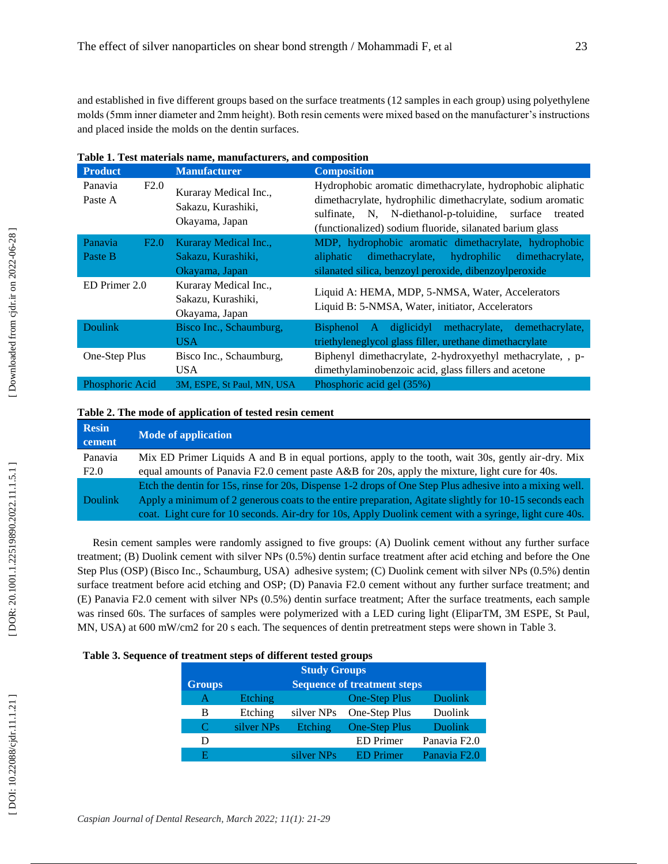and established in five different groups based on the surface treatments (12 samples in each group) using polyethylene molds (5mm inner diameter and 2mm height). Both resin cements were mixed based on the manufacturer's instructions and placed inside the molds on the dentin surfaces.

| <b>Product</b>             | <b>Manufacturer</b>                                           | <b>Composition</b>                                                                                                                                                                                                                                 |  |
|----------------------------|---------------------------------------------------------------|----------------------------------------------------------------------------------------------------------------------------------------------------------------------------------------------------------------------------------------------------|--|
| Panavia<br>F2.0<br>Paste A | Kuraray Medical Inc.,<br>Sakazu, Kurashiki,<br>Okayama, Japan | Hydrophobic aromatic dimethacrylate, hydrophobic aliphatic<br>dimethacrylate, hydrophilic dimethacrylate, sodium aromatic<br>sulfinate, N, N-diethanol-p-toluidine, surface<br>treated<br>(functionalized) sodium fluoride, silanated barium glass |  |
| F2.0<br>Panavia<br>Paste B | Kuraray Medical Inc.,<br>Sakazu, Kurashiki,<br>Okayama, Japan | MDP, hydrophobic aromatic dimethacrylate, hydrophobic<br>dimethacrylate, hydrophilic<br>dimethacrylate,<br>aliphatic<br>silanated silica, benzoyl peroxide, dibenzoylperoxide                                                                      |  |
| ED Primer 2.0              | Kuraray Medical Inc.,<br>Sakazu, Kurashiki,<br>Okayama, Japan | Liquid A: HEMA, MDP, 5-NMSA, Water, Accelerators<br>Liquid B: 5-NMSA, Water, initiator, Accelerators                                                                                                                                               |  |
| <b>Doulink</b>             | Bisco Inc., Schaumburg,<br>USA.                               | methacrylate,<br>demethacrylate,<br>diglicidyl<br>Bisphenol A<br>triethyleneglycol glass filler, urethane dimethacrylate                                                                                                                           |  |
| One-Step Plus              | Bisco Inc., Schaumburg,<br>USA.                               | Biphenyl dimethacrylate, 2-hydroxyethyl methacrylate, , p-<br>dimethylaminobenzoic acid, glass fillers and acetone                                                                                                                                 |  |
| Phosphoric Acid            | 3M, ESPE, St Paul, MN, USA                                    | Phosphoric acid gel (35%)                                                                                                                                                                                                                          |  |

| Table 1. Test materials name, manufacturers, and composition |
|--------------------------------------------------------------|
|--------------------------------------------------------------|

## **Table 2. The mode of application of tested resin cement**

| <b>Resin</b><br>cement | <b>Mode of application</b>                                                                               |
|------------------------|----------------------------------------------------------------------------------------------------------|
| Panavia                | Mix ED Primer Liquids A and B in equal portions, apply to the tooth, wait 30s, gently air-dry. Mix       |
| F2.0                   | equal amounts of Panavia F2.0 cement paste A&B for 20s, apply the mixture, light cure for 40s.           |
|                        | Etch the dentin for 15s, rinse for 20s, Dispense 1-2 drops of One Step Plus adhesive into a mixing well. |
| <b>Doulink</b>         | Apply a minimum of 2 generous coats to the entire preparation, Agitate slightly for 10-15 seconds each   |
|                        | coat. Light cure for 10 seconds. Air-dry for 10s, Apply Duolink cement with a syringe, light cure 40s.   |

Resin cement samples were randomly assigned to five groups: (A) Duolink cement without any further surface treatment; (B) Duolink cement with silver NPs (0.5%) dentin surface treatment after acid etching and before the One Step Plus (OSP) (Bisco Inc., Schaumburg, USA) adhesive system; (C) Duolink cement with silver NPs (0.5%) dentin surface treatment before acid etching and OSP; (D) Panavia F2.0 cement without any further surface treatment; and (E) Panavia F2.0 cement with silver NPs (0.5%) dentin surface treatment; After the surface treatments, each sample was rinsed 60s. The surfaces of samples were polymerized with a LED curing light (EliparTM, 3M ESPE, St Paul, MN, USA) at 600 mW/cm2 for 20 s each. The sequences of dentin pretreatment steps were shown in Table 3.

#### **Table 3. Sequence of treatment steps of different tested groups**

| <b>Study Groups</b>         |                                    |            |                      |                          |  |  |
|-----------------------------|------------------------------------|------------|----------------------|--------------------------|--|--|
| <b>Groups</b>               | <b>Sequence of treatment steps</b> |            |                      |                          |  |  |
| A                           | Etching                            |            | <b>One-Step Plus</b> | Duolink                  |  |  |
| B                           | Etching                            | silver NPs | One-Step Plus        | <b>Duolink</b>           |  |  |
| $\mathcal{C}_{\mathcal{C}}$ | silver NPs                         | Etching    | <b>One-Step Plus</b> | <b>Duolink</b>           |  |  |
| D                           |                                    |            | <b>ED</b> Primer     | Panavia F <sub>2.0</sub> |  |  |
| F                           |                                    | silver NPs | <b>ED</b> Primer     | Panavia F <sub>2.0</sub> |  |  |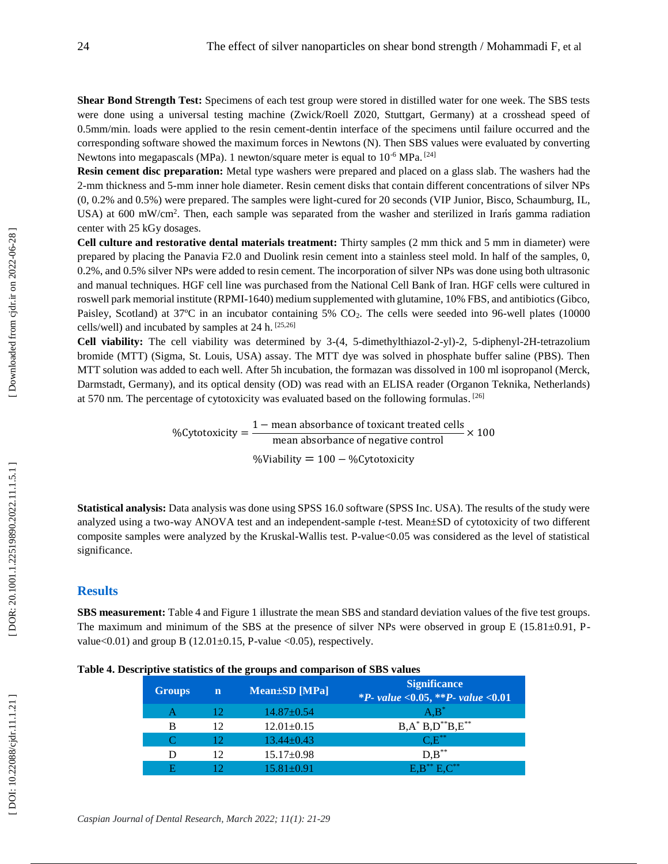**Shear Bond Strength Test:** Specimens of each test group were stored in distilled water for one week. The SBS tests were done using a universal testing machine (Zwick/Roell Z020, Stuttgart, Germany) at a crosshead speed of 0.5mm/min. loads were applied to the resin cement -dentin interface of the specimens until failure occurred and the corresponding software showed the maximum forces in Newtons (N). Then SBS values were evaluated by converting Newtons into megapascals (MPa). 1 newton/square meter is equal to 10<sup>-6</sup> MPa.<sup>[24]</sup>

Resin cement disc preparation: Metal type washers were prepared and placed on a glass slab. The washers had the 2-mm thickness and 5-mm inner hole diameter. Resin cement disks that contain different concentrations of silve (0, 0.2% and 0.5%) were prepared. The samples were light -cured for 20 seconds (VIP Junior, Bisco, Schaumburg, IL, USA) at 600 mW/cm<sup>2</sup>. Then, each sample was separated from the washer and sterilized in Irans gamma radiation center with 25 kGy dosages.

**Cell culture and restorative dental materials treatment:** Thirty samples (2 mm thick and 5 mm in diameter) were prepared by placing the Panavia F2.0 and Duolink resin cement into a stainless steel mold. In half of the samples, 0, 0.2%, and 0.5% silver NPs were added to resin cement. The incorporation of silver NPs was done using both ultrasonic and manual techniques. HGF cell line was purchased from the National Cell Bank of Iran. HGF cells were cultured in roswell park memorial institute (RPMI -1640 ) medium supplemented with glutamine, 10% FBS, and antibiotics (Gibco, Paisley, Scotland) at 37°C in an incubator containing 5% CO<sub>2</sub>. The cells were seeded into 96-well plates (10000 cells/well) and incubated by samples at 24 h. [25,26]

Cell viability: The cell viability was determined by 3-(4, 5-dimethylthiazol-2-yl)-2, 5-diphenyl-2H-tetrazolium bromide (MTT) (Sigma, St. Louis, USA) assay. The MTT dye was solved in phosphate buffer saline (PBS). Then MTT solution was added to each well. After 5h incubation, the formazan was dissolved in 100 ml isopropanol (Merck, Darmstadt, Germany), and its optical density (OD) was read with an ELISA reader (Organon Teknika, Netherlands) at 570 nm. The percentage of cytotoxicity was evaluated based on the following formulas. [26]

> %Cytotoxicity =  $\frac{1 - \text{mean absorbance of toxicant treated cells}}{1 - \text{mean absorbance of toxicant treated cells}}$ mean absorbance of negative control  $\times 100$ %Viability = 100 − %Cytotoxicity

**Statistical analysis:** Data analysis was done using SPSS 16.0 software (SPSS Inc. USA). The results of the study were analyzed using a two-way ANOVA test and an independent-sample t-test. Mean±SD of cytotoxicity of two different composite samples were analyzed by the Kruskal -Wallis test. P -value<0.05 was considered as the level of statistical significance.

#### **Results**

**SBS measurement:** Table 4 and Figure 1 illustrate the mean SBS and standard deviation values of the five test groups. The maximum and minimum of the SBS at the presence of silver NPs were observed in group  $E(15.81\pm0.91, P$ value< $0.01$ ) and group B (12.01 $\pm$ 0.15, P-value < $0.05$ ), respectively.

**Table 4. Descriptive statistics of the groups and comparison of SBS values**

| -             |             |                     |                                                          |
|---------------|-------------|---------------------|----------------------------------------------------------|
| <b>Groups</b> | $\mathbf n$ | $Mean \pm SD$ [MPa] | <b>Significance</b><br>*P- value <0.05, **P- value <0.01 |
| А             | 12          | $14.87 \pm 0.54$    | $A, B^*$                                                 |
| B             | 12          | $12.01 \pm 0.15$    | $B, A^* B, D^{**} B, E^{**}$                             |
|               | 12.         | $13.44 \pm 0.43$    | $C.E^{**}$                                               |
| D             | 12          | $15.17 \pm 0.98$    | $D.B^{**}$                                               |
|               |             | $15.81 + 0.91$      | $E.B^{**}E.C^{**}$                                       |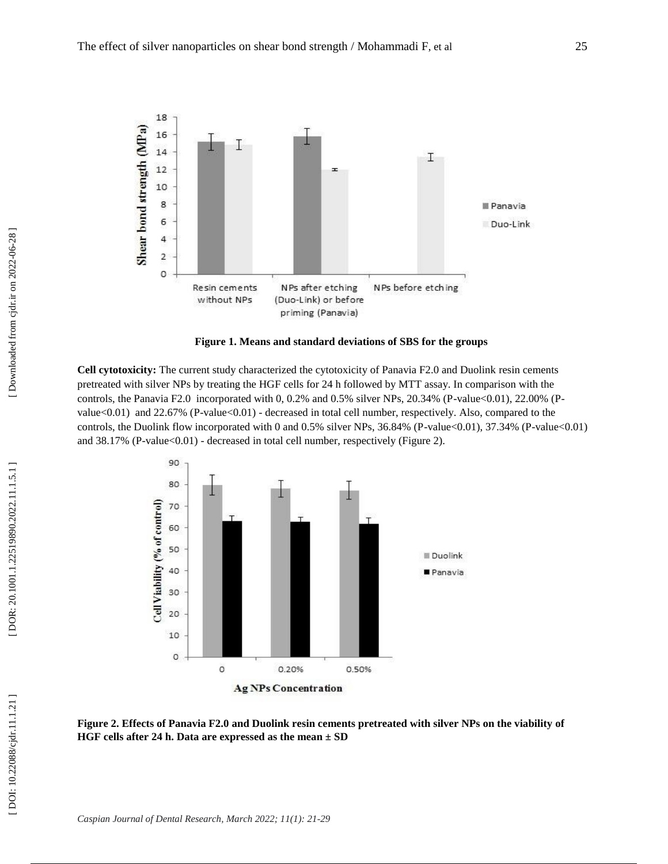

**Figure 1. Means and standard deviations of SBS for the groups**

**Cell cytotoxicity:** The current study characterized the cytotoxicity of Panavia F2.0 and Duolink resin cements pretreated with silver NPs by treating the HGF cells for 24 h followed by MTT assay. In comparison with the controls, the Panavia F2.0 incorporated with 0, 0.2% and 0.5% silver NPs, 20.34% (P-value<0.01), 22.00% (Pvalue<0.01) and 22.67% (P-value<0.01) - decreased in total cell number, respectively. Also, compared to the controls, the Duolink flow incorporated with 0 and 0.5% silver NPs, 36.84% (P-value<0.01), 37.34% (P-value<0.01) and 38.17% (P-value<0.01) - decreased in total cell number, respectively (Figure 2).



**Figure 2. Effects of Panavia F2.0 and Duolink resin cements pretreated with silver NPs on the viability of HGF cells after 24 h. Data are expressed as the mean ± SD**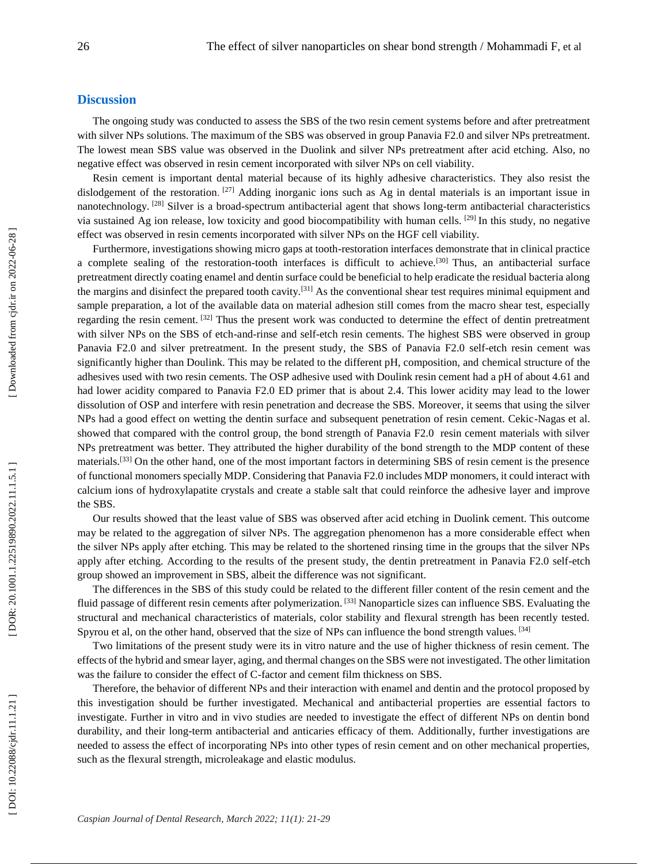## **Discussion**

The ongoing study was conducted to assess the SBS of the two resin cement systems before and after pretreatment with silver NPs solutions. The maximum of the SBS was observed in group Panavia F2.0 and silver NPs pretreatment. The lowest mean SBS value was observed in the Duolink and silver NPs pretreatment after acid etching. Also, no negative effect was observed in resin cement incorporated with silver NPs on cell viability.

Resin cement is important dental material because of its highly adhesive characteristics. They also resist the dislodgement of the restoration. <sup>[27]</sup> Adding inorganic ions such as Ag in dental materials is an important issue in nanotechnology.<sup>[28]</sup> Silver is a broad-spectrum antibacterial agent that shows long-term antibacterial characteristics via sustained Ag ion release, low toxicity and good biocompatibility with human cells. [29] In this study, no negative effect was observed in resin cements incorporated with silver NPs on the HGF cell viability.

Furthermore, investigations showing micro gaps at tooth -restoration interfaces demonstrate that in clinical practice a complete sealing of the restoration-tooth interfaces is difficult to achieve.<sup>[30]</sup> Thus, an antibacterial surface pretreatment directly coating enamel and dentin surface could be beneficial to help eradicate the residual bacteria along the margins and disinfect the prepared tooth cavity.<sup>[31]</sup> As the conventional shear test requires minimal equipment and sample preparation, a lot of the available data on material adhesion still comes from the macro shear test, especially regarding the resin cement. [32] Thus the present work was conducted to determine the effect of dentin pretreatment with silver NPs on the SBS of etch-and-rinse and self-etch resin cements. The highest SBS were observed in group Panavia F2.0 and silver pretreatment. In the present study, the SBS of Panavia F2.0 self-etch resin cement was significantly higher than Doulink. This may be related to the different pH, composition, and chemical structure of the adhesives used with two resin cements. The OSP adhesive used with Doulink resin cement had a pH of about 4.61 and had lower acidity compared to Panavia F2.0 ED primer that is about 2.4. This lower acidity may lead to the lower dissolution of OSP and interfere with resin penetration and decrease the SBS. Moreover, it seems that using the silver NPs had a good effect on wetting the dentin surface and subsequent penetration of resin cement. Cekic -Nagas et al. showed that compared with the control group, the bond strength of Panavia F2.0 resin cement materials with silver NPs pretreatment was better. They attributed the higher durability of the bond strength to the MDP content of these materials.<sup>[33]</sup> On the other hand, one of the most important factors in determining SBS of resin cement is the presence of functional monomers specially MDP. Considering that Panavia F2.0 includes MDP monomers, it could interact with calcium ions of hydroxylapatite crystals and create a stable salt that could reinforce the adhesive layer and improve the SBS.

Our results showed that the least value of SBS was observed after acid etching in Duolink cement. This outcome may be related to the aggregation of silver NPs. The aggregation phenomenon has a more considerable effect when the silver NPs apply after etching. This may be related to the shortened rinsing time in the groups that the silver NPs apply after etching. According to the results of the present study, the dentin pretreatment in Panavia F2.0 self -etch group showed an improvement in SBS, albeit the difference was not significant.

The differences in the SBS of this study could be related to the different filler content of the resin cement and the fluid passage of different resin cements after polymerization. [33] Nanoparticle sizes can influence SBS. Evaluating the structural and mechanical characteristics of materials, color stability and flexural strength has been recently tested. Spyrou et al, on the other hand, observed that the size of NPs can influence the bond strength values. [34]

Two limitations of the present study were its in vitro nature and the use of higher thickness of resin cement. The effects of the hybrid and smear layer, aging, and thermal changes on the SBS were not investigated. The other limitation was the failure to consider the effect of C -factor and cement film thickness on SBS.

Therefore, the behavior of different NPs and their interaction with enamel and dentin and the protocol proposed by this investigation should be further investigated. Mechanical and antibacterial properties are essential factors to investigate. Further in vitro and in vivo studies are needed to investigate the effect of different NPs on dentin bond durability, and their long-term antibacterial and anticaries efficacy of them. Additionally, further investigations are needed to assess the effect of incorporating NPs into other types of resin cement and on other mechanical properties, such as the flexural strength, microleakage and elastic modulus.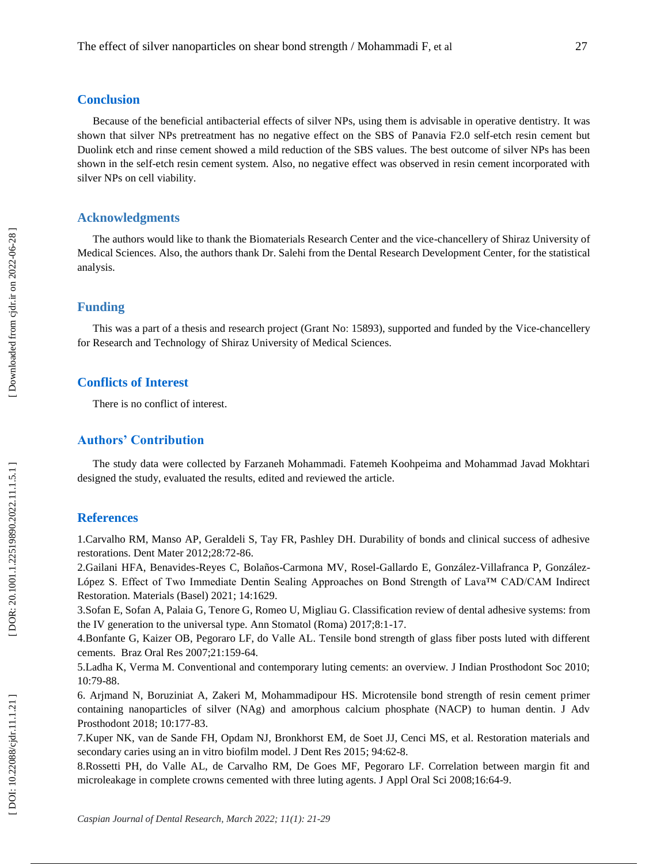#### **Conclusion**

Because of the beneficial antibacterial effects of silver NPs, using them is advisable in operative dentistry. It was shown that silver NPs pretreatment has no negative effect on the SBS of Panavia F2.0 self-etch resin cement but Duolink etch and rinse cement showed a mild reduction of the SBS values. The best outcome of silver NPs has been shown in the self-etch resin cement system. Also, no negative effect was observed in resin cement incorporated with silver NPs on cell viability.

# **Acknowledgments**

The authors would like to thank the Biomaterials Research Center and the vice -chancellery of Shiraz University of Medical Sciences. Also, the authors thank Dr. Salehi from the Dental Research Development Center, for the statistical analysis.

#### **Funding**

This was a part of a thesis and research project (Grant No : 15893), supported and funded by the Vice -chancellery for Research and Technology of Shiraz University of Medical Sciences.

## **Conflicts of Interest**

There is no conflict of interest.

# **Authors' Contribution**

The study data were collected by Farzaneh Mohammadi. Fatemeh Koohpeima and Mohammad Javad Mokhtari designed the study, evaluated the results, edited and reviewed the article.

#### **References**

1.Carvalho RM, Manso AP, Geraldeli S, Tay FR, Pashley DH. Durability of bonds and clinical success of adhesive restorations. Dent Mater 2012;28:72 -86.

2.Gailani HFA, Benavides-Reyes C, Bolaños-Carmona MV, Rosel-Gallardo E, González-Villafranca P, González-López S. Effect of Two Immediate Dentin Sealing Approaches on Bond Strength of Lava™ CAD/CAM Indirect Restoration. Materials (Basel) 2021; 14:1629 .

3.Sofan E, Sofan A, Palaia G, Tenore G, Romeo U, Migliau G. Classification review of dental adhesive systems: from the IV generation to the universal type. Ann Stomatol (Roma) 2017;8:1 -17.

4.Bonfante G, Kaizer OB, Pegoraro LF, do Valle AL . [Tensile bond strength of glass fiber posts luted with different](https://pubmed.ncbi.nlm.nih.gov/17589652/)  [cements.](https://pubmed.ncbi.nlm.nih.gov/17589652/) Braz Oral Res 2007;21:159 -64.

5.Ladha K, Verma M. Conventional and contemporary luting cements: an overview. J Indian Prosthodont Soc 2010; 10:79 -88.

6. Arjmand N, Boruziniat A, Zakeri M, Mohammadipour HS. Microtensile bond strength of resin cement primer containing nanoparticles of silver (NAg) and amorphous calcium phosphate (NACP) to human dentin. J Adv Prosthodont 2018; 10:177 -83.

7.Kuper NK, van de Sande FH, Opdam NJ, Bronkhorst EM, de Soet JJ, Cenci MS, et al. Restoration materials and secondary caries using an in vitro biofilm model. J Dent Res 2015; 94:62 -8.

8.Rossetti PH, do Valle AL, de Carvalho RM, De Goes MF, Pegoraro LF. Correlation between margin fit and microleakage in complete crowns cemented with three luting agents. J Appl Oral Sci 2008;16:64 -9.

DOI: 10.22088/cjdr.11.1.21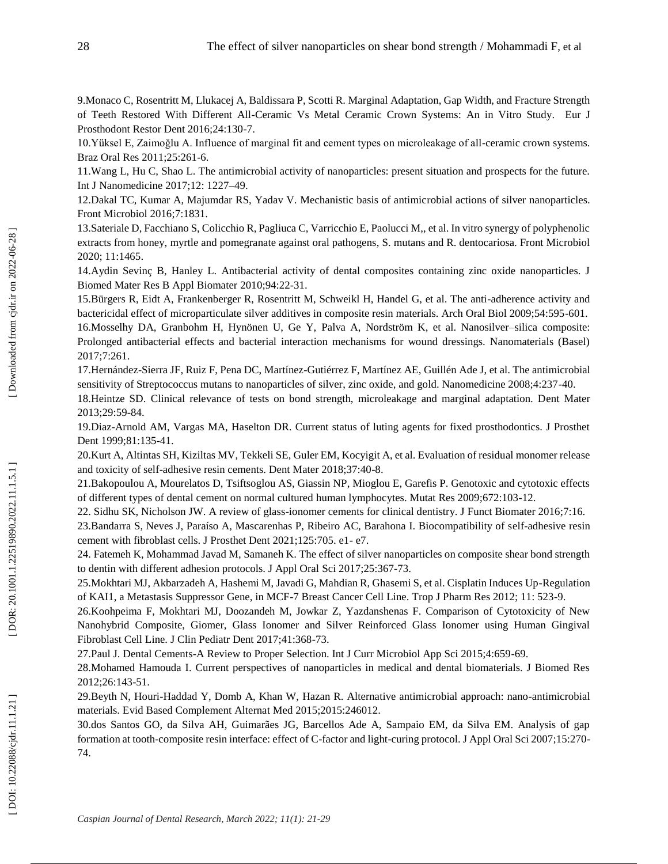9.Monaco C, Rosentritt M, Llukacej A, Baldissara P, Scotti R. [Marginal Adaptation, Gap Width, and Fracture Strength](https://pubmed.ncbi.nlm.nih.gov/28509504/)  of Teeth Restored With Different All [-Ceramic Vs Metal Ceramic Crown Systems: An in Vitro Study.](https://pubmed.ncbi.nlm.nih.gov/28509504/) Eur J Prosthodont Restor Dent 2016;24:130 -7.

10.Yüksel E, Zaimoğlu A. Influence of marginal fit and cement types on microleakage of all -ceramic crown systems. Braz Oral Res 2011;25:261 -6.

11.Wang L, Hu C, Shao L. The antimicrobial activity of nanoparticles: present situation and prospects for the future. [Int J Nanomedicine](https://www.ncbi.nlm.nih.gov/pmc/articles/PMC5317269/) 2017;12: 1227 –49.

12.Dakal TC, Kumar A, Majumdar RS, Yadav V. Mechanistic basis of antimicrobial actions of silver nanoparticles. Front Microbiol 2016;7:1831.

13.Sateriale D, Facchiano S, Colicchio R, Pagliuca C, Varricchio E, Paolucci M,, et al. In vitro synergy of polyphenolic extracts from honey, myrtle and pomegranate against oral pathogens, S. mutans and R. dentocariosa. Front Microbiol 2020; 11:1465 .

14.Aydin Sevinç B, Hanley L. Antibacterial activity of dental composites containing zinc oxide nanoparticles. J Biomed Mater Res B Appl Biomater 2010 ;94:22 -31 .

15.Bürgers R, Eidt A, Frankenberger R, Rosentritt M, Schweikl H, Handel G, et al. The anti -adherence activity and bactericidal effect of microparticulate silver additives in composite resin materials. Arch Oral Biol 2009;54:595 -601.

16.Mosselhy DA, Granbohm H, Hynönen U, Ge Y, Palva A, Nordström K, et al. Nanosilver –silica composite: Prolonged antibacterial effects and bacterial interaction mechanisms for wound dressings. Nanomaterials (Basel) 2017;7:261.

17.Hernández -Sierra JF, Ruiz F, Pena DC, Martínez -Gutiérrez F, Martínez AE, Guillén Ade J, et al. The antimicrobial sensitivity of Streptococcus mutans to nanoparticles of silver, zinc oxide, and gold. Nanomedicine 2008;4:237 -40.

18.Heintze SD. Clinical relevance of tests on bond strength, microleakage and marginal adaptation. Dent Mater 2013;29:59 -84.

19.Diaz -Arnold AM, Vargas MA, Haselton DR. Current status of luting agents for fixed prosthodontics. J Prosthet Dent 1999;81:135 -41.

20.Kurt A, Altintas SH, Kiziltas MV, Tekkeli SE, Guler EM, Kocyigit A, et al. Evaluation of residual monomer release and toxicity of self -adhesive resin cements. Dent Mater 2018;37:40 -8.

21.Bakopoulou A, Mourelatos D, Tsiftsoglou AS, Giassin NP, Mioglou E, Garefis P. Genotoxic and cytotoxic effects of different types of dental cement on normal cultured human lymphocytes. Mutat Res 2009;672:103 -12.

22. Sidhu SK, Nicholson JW. A review of glass -ionomer cements for clinical dentistry. J Funct Biomater 2016;7:16.

23.Bandarra S, Neves J, Paraíso A, Mascarenhas P, Ribeiro AC, Barahona I. Biocompatibility of self-adhesive resin cement with fibroblast cells. J Prosthet Dent 2021;125:705. e1 - e7.

24. Fatemeh K, Mohammad Javad M, Samaneh K. The effect of silver nanoparticles on composite shear bond strength to dentin with different adhesion protocols. J Appl Oral Sci 2017;25:367 -73.

25.Mokhtari MJ, Akbarzadeh A, Hashemi M, Javadi G, Mahdian R, Ghasemi S, et al. Cisplatin Induces Up -Regulation of KAI1, a Metastasis Suppressor Gene, in MCF -7 Breast Cancer Cell Line. Trop J Pharm Res 2012; 11: 523 -9.

26.Koohpeima F, Mokhtari MJ, Doozandeh M, Jowkar Z, Yazdanshenas F. Comparison of Cytotoxicity of New Nanohybrid Composite, Giomer, Glass Ionomer and Silver Reinforced Glass Ionomer using Human Gingival Fibroblast Cell Line. J Clin Pediatr Dent 2017;41:368 -73.

27.Paul J. Dental Cements -A Review to Proper Selection. Int J Curr Microbiol App Sci 2015;4:659 -69.

28.Mohamed Hamouda I. Current perspectives of nanoparticles in medical and dental biomaterials. J Biomed Res 2012;26:143 -51.

29.Beyth N, Houri -Haddad Y, Domb A, Khan W, Hazan R. Alternative antimicrobial approach: nano -antimicrobial materials. Evid Based Complement Alternat Med 2015;2015:246012.

30.dos Santos GO, da Silva AH, Guimarães JG, Barcellos Ade A, Sampaio EM, da Silva EM. Analysis of gap formation at tooth-composite resin interface: effect of C-factor and light-curing protocol. J Appl Oral Sci 2007;15:270-74.